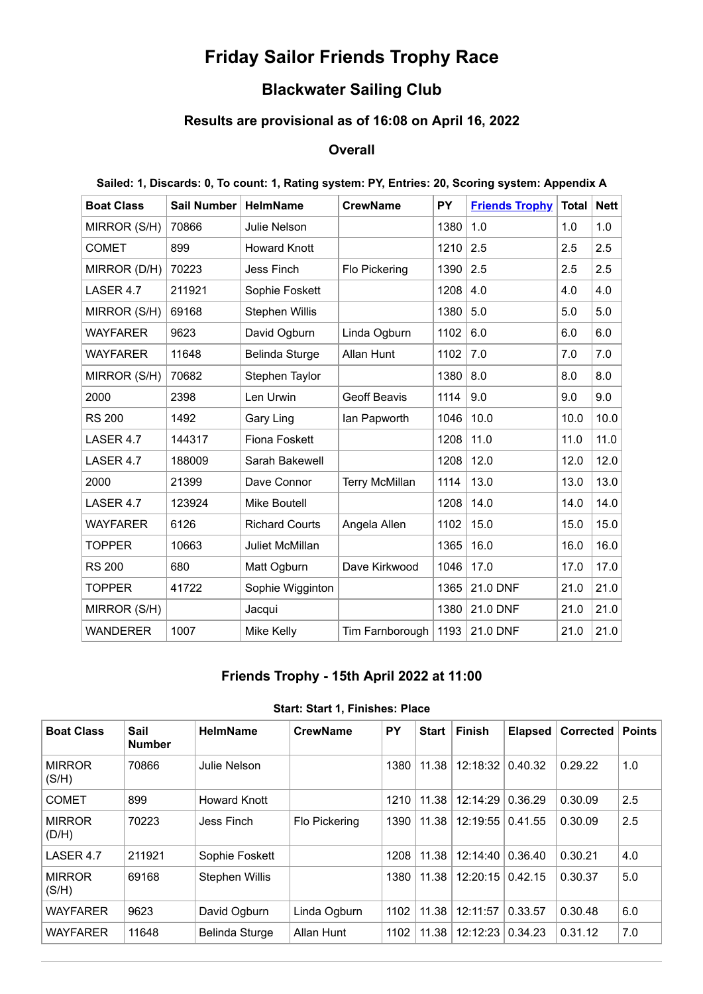# **Friday Sailor Friends Trophy Race**

### **Blackwater Sailing Club**

# **Results are provisional as of 16:08 on April 16, 2022**

### **Overall**

|  | Sailed: 1, Discards: 0, To count: 1, Rating system: PY, Entries: 20, Scoring system: Appendix A |  |  |
|--|-------------------------------------------------------------------------------------------------|--|--|
|  |                                                                                                 |  |  |

| <b>Boat Class</b> | <b>Sail Number</b> | <b>HelmName</b>       | <b>CrewName</b>       | PY   | <b>Friends Trophy</b> | <b>Total</b> | <b>Nett</b> |
|-------------------|--------------------|-----------------------|-----------------------|------|-----------------------|--------------|-------------|
| MIRROR (S/H)      | 70866              | Julie Nelson          |                       | 1380 | 1.0                   | 1.0          | 1.0         |
| <b>COMET</b>      | 899                | <b>Howard Knott</b>   |                       | 1210 | 2.5                   | 2.5          | 2.5         |
| MIRROR (D/H)      | 70223              | Jess Finch            | Flo Pickering         | 1390 | 2.5                   | 2.5          | 2.5         |
| LASER 4.7         | 211921             | Sophie Foskett        |                       | 1208 | 4.0                   | 4.0          | 4.0         |
| MIRROR (S/H)      | 69168              | Stephen Willis        |                       | 1380 | 5.0                   | 5.0          | 5.0         |
| WAYFARER          | 9623               | David Ogburn          | Linda Ogburn          | 1102 | 6.0                   | 6.0          | 6.0         |
| <b>WAYFARER</b>   | 11648              | <b>Belinda Sturge</b> | Allan Hunt            | 1102 | 7.0                   | 7.0          | 7.0         |
| MIRROR (S/H)      | 70682              | Stephen Taylor        |                       | 1380 | 8.0                   | 8.0          | 8.0         |
| 2000              | 2398               | Len Urwin             | <b>Geoff Beavis</b>   | 1114 | 9.0                   | 9.0          | 9.0         |
| <b>RS 200</b>     | 1492               | Gary Ling             | lan Papworth          | 1046 | 10.0                  | 10.0         | 10.0        |
| LASER 4.7         | 144317             | <b>Fiona Foskett</b>  |                       | 1208 | 11.0                  | 11.0         | 11.0        |
| LASER 4.7         | 188009             | Sarah Bakewell        |                       | 1208 | 12.0                  | 12.0         | 12.0        |
| 2000              | 21399              | Dave Connor           | <b>Terry McMillan</b> | 1114 | 13.0                  | 13.0         | 13.0        |
| LASER 4.7         | 123924             | <b>Mike Boutell</b>   |                       | 1208 | 14.0                  | 14.0         | 14.0        |
| <b>WAYFARER</b>   | 6126               | <b>Richard Courts</b> | Angela Allen          | 1102 | 15.0                  | 15.0         | 15.0        |
| <b>TOPPER</b>     | 10663              | Juliet McMillan       |                       | 1365 | 16.0                  | 16.0         | 16.0        |
| <b>RS 200</b>     | 680                | Matt Ogburn           | Dave Kirkwood         | 1046 | 17.0                  | 17.0         | 17.0        |
| <b>TOPPER</b>     | 41722              | Sophie Wigginton      |                       | 1365 | 21.0 DNF              | 21.0         | 21.0        |
| MIRROR (S/H)      |                    | Jacqui                |                       | 1380 | 21.0 DNF              | 21.0         | 21.0        |
| <b>WANDERER</b>   | 1007               | Mike Kelly            | Tim Farnborough       | 1193 | 21.0 DNF              | 21.0         | 21.0        |

### **Friends Trophy - 15th April 2022 at 11:00**

<span id="page-0-0"></span>

| <b>Boat Class</b>      | Sail<br><b>Number</b> | <b>HelmName</b>       | <b>CrewName</b>   | <b>PY</b> | <b>Start</b> | <b>Finish</b> | <b>Elapsed</b> | <b>Corrected</b> | <b>Points</b> |
|------------------------|-----------------------|-----------------------|-------------------|-----------|--------------|---------------|----------------|------------------|---------------|
| <b>MIRROR</b><br>(S/H) | 70866                 | Julie Nelson          |                   | 1380      | 11.38        | 12:18:32      | 0.40.32        | 0.29.22          | 1.0           |
| <b>COMET</b>           | 899                   | <b>Howard Knott</b>   |                   | 1210      | 11.38        | 12:14:29      | 0.36.29        | 0.30.09          | 2.5           |
| <b>MIRROR</b><br>(D/H) | 70223                 | Jess Finch            | Flo Pickering     | 1390      | 11.38        | 12:19:55      | 0.41.55        | 0.30.09          | 2.5           |
| LASER 4.7              | 211921                | Sophie Foskett        |                   | 1208      | 11.38        | 12:14:40      | 0.36.40        | 0.30.21          | 4.0           |
| <b>MIRROR</b><br>(S/H) | 69168                 | <b>Stephen Willis</b> |                   | 1380      | 11.38        | 12:20:15      | 0.42.15        | 0.30.37          | 5.0           |
| <b>WAYFARER</b>        | 9623                  | David Ogburn          | Linda Ogburn      | 1102      | 11.38        | 12:11:57      | 0.33.57        | 0.30.48          | 6.0           |
| <b>WAYFARER</b>        | 11648                 | Belinda Sturge        | <b>Allan Hunt</b> | 1102      | 11.38        | 12:12:23      | 0.34.23        | 0.31.12          | 7.0           |

#### **Start: Start 1, Finishes: Place**